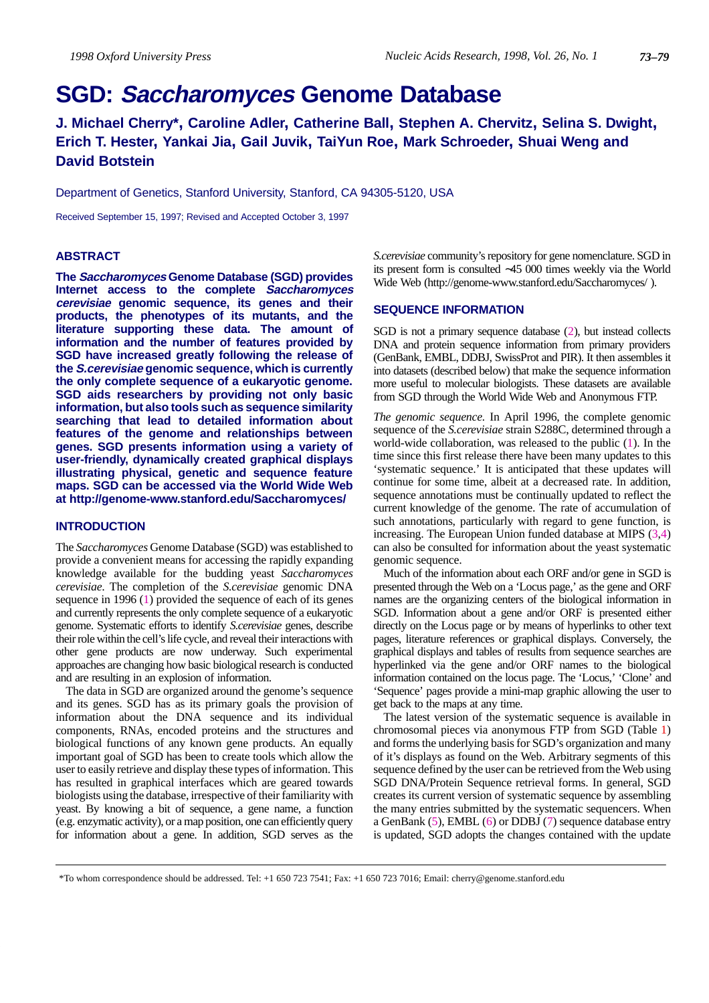# **SGD: Saccharomyces Genome Database**

**J. Michael Cherry\*, Caroline Adler, Catherine Ball, Stephen A. Chervitz, Selina S. Dwight, Erich T. Hester, Yankai Jia, Gail Juvik, TaiYun Roe, Mark Schroeder, Shuai Weng and David Botstein**

Department of Genetics, Stanford University, Stanford, CA 94305-5120, USA

Received September 15, 1997; Revised and Accepted October 3, 1997

# **ABSTRACT**

**The Saccharomyces Genome Database (SGD) provides Internet access to the complete Saccharomyces cerevisiae genomic sequence, its genes and their products, the phenotypes of its mutants, and the literature supporting these data. The amount of information and the number of features provided by SGD have increased greatly following the release of the S.cerevisiae genomic sequence, which is currently the only complete sequence of a eukaryotic genome. SGD aids researchers by providing not only basic information, but also tools such as sequence similarity searching that lead to detailed information about features of the genome and relationships between genes. SGD presents information using a variety of user-friendly, dynamically created graphical displays illustrating physical, genetic and sequence feature maps. SGD can be accessed via the World Wide Web at http://genome-www.stanford.edu/Saccharomyces/**

#### **INTRODUCTION**

The *Saccharomyces* Genome Database (SGD) was established to provide a convenient means for accessing the rapidly expanding knowledge available for the budding yeast *Saccharomyces cerevisiae*. The completion of the *S.cerevisiae* genomic DNA sequence in 1996 (1) provided the sequence of each of its genes and currently represents the only complete sequence of a eukaryotic genome. Systematic efforts to identify *S.cerevisiae* genes, describe their role within the cell's life cycle, and reveal their interactions with other gene products are now underway. Such experimental approaches are changing how basic biological research is conducted and are resulting in an explosion of information.

The data in SGD are organized around the genome's sequence and its genes. SGD has as its primary goals the provision of information about the DNA sequence and its individual components, RNAs, encoded proteins and the structures and biological functions of any known gene products. An equally important goal of SGD has been to create tools which allow the user to easily retrieve and display these types of information. This has resulted in graphical interfaces which are geared towards biologists using the database, irrespective of their familiarity with yeast. By knowing a bit of sequence, a gene name, a function (e.g. enzymatic activity), or a map position, one can efficiently query for information about a gene. In addition, SGD serves as the

*S.cerevisiae* community's repository for gene nomenclature. SGD in its present form is consulted ∼45 000 times weekly via the World Wide Web (http://genome-www.stanford.edu/Saccharomyces/ ).

## **SEQUENCE INFORMATION**

SGD is not a primary sequence database (2), but instead collects DNA and protein sequence information from primary providers (GenBank, EMBL, DDBJ, SwissProt and PIR). It then assembles it into datasets (described below) that make the sequence information more useful to molecular biologists. These datasets are available from SGD through the World Wide Web and Anonymous FTP.

*The genomic sequence.* In April 1996, the complete genomic sequence of the *S.cerevisiae* strain S288C, determined through a world-wide collaboration, was released to the public (1). In the time since this first release there have been many updates to this 'systematic sequence.' It is anticipated that these updates will continue for some time, albeit at a decreased rate. In addition, sequence annotations must be continually updated to reflect the current knowledge of the genome. The rate of accumulation of such annotations, particularly with regard to gene function, is increasing. The European Union funded database at MIPS (3,4) can also be consulted for information about the yeast systematic genomic sequence.

Much of the information about each ORF and/or gene in SGD is presented through the Web on a 'Locus page,' as the gene and ORF names are the organizing centers of the biological information in SGD. Information about a gene and/or ORF is presented either directly on the Locus page or by means of hyperlinks to other text pages, literature references or graphical displays. Conversely, the graphical displays and tables of results from sequence searches are hyperlinked via the gene and/or ORF names to the biological information contained on the locus page. The 'Locus,' 'Clone' and 'Sequence' pages provide a mini-map graphic allowing the user to get back to the maps at any time.

The latest version of the systematic sequence is available in chromosomal pieces via anonymous FTP from SGD (Table 1) and forms the underlying basis for SGD's organization and many of it's displays as found on the Web. Arbitrary segments of this sequence defined by the user can be retrieved from the Web using SGD DNA/Protein Sequence retrieval forms. In general, SGD creates its current version of systematic sequence by assembling the many entries submitted by the systematic sequencers. When a GenBank (5), EMBL (6) or DDBJ (7) sequence database entry is updated, SGD adopts the changes contained with the update

\*To whom correspondence should be addressed. Tel: +1 650 723 7541; Fax: +1 650 723 7016; Email: cherry@genome.stanford.edu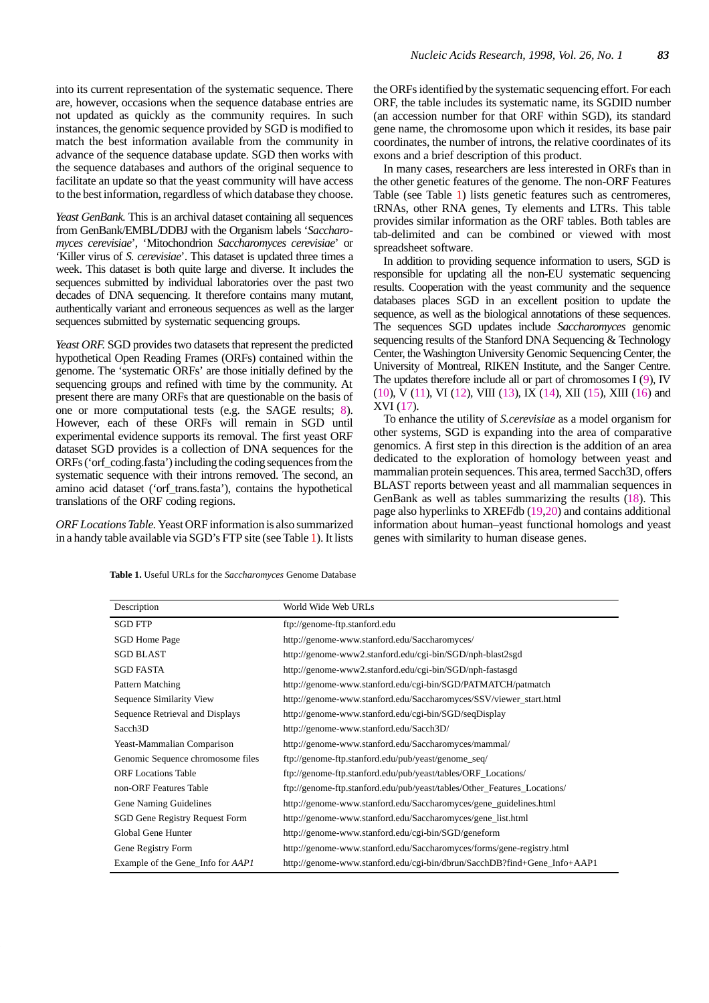into its current representation of the systematic sequence. There are, however, occasions when the sequence database entries are not updated as quickly as the community requires. In such instances, the genomic sequence provided by SGD is modified to match the best information available from the community in advance of the sequence database update. SGD then works with the sequence databases and authors of the original sequence to facilitate an update so that the yeast community will have access to the best information, regardless of which database they choose.

*Yeast GenBank*. This is an archival dataset containing all sequences from GenBank/EMBL/DDBJ with the Organism labels '*Saccharomyces cerevisiae*', 'Mitochondrion *Saccharomyces cerevisiae*' or 'Killer virus of *S. cerevisiae*'. This dataset is updated three times a week. This dataset is both quite large and diverse. It includes the sequences submitted by individual laboratories over the past two decades of DNA sequencing. It therefore contains many mutant, authentically variant and erroneous sequences as well as the larger sequences submitted by systematic sequencing groups.

*Yeast ORF.* SGD provides two datasets that represent the predicted hypothetical Open Reading Frames (ORFs) contained within the genome. The 'systematic ORFs' are those initially defined by the sequencing groups and refined with time by the community. At present there are many ORFs that are questionable on the basis of one or more computational tests (e.g. the SAGE results; 8). However, each of these ORFs will remain in SGD until experimental evidence supports its removal. The first yeast ORF dataset SGD provides is a collection of DNA sequences for the ORFs ('orf\_coding.fasta') including the coding sequences from the systematic sequence with their introns removed. The second, an amino acid dataset ('orf\_trans.fasta'), contains the hypothetical translations of the ORF coding regions.

*ORF Locations Table.* Yeast ORF information is also summarized in a handy table available via SGD's FTP site (see Table 1). It lists

the ORFs identified by the systematic sequencing effort. For each ORF, the table includes its systematic name, its SGDID number (an accession number for that ORF within SGD), its standard gene name, the chromosome upon which it resides, its base pair coordinates, the number of introns, the relative coordinates of its exons and a brief description of this product.

In many cases, researchers are less interested in ORFs than in the other genetic features of the genome. The non-ORF Features Table (see Table 1) lists genetic features such as centromeres, tRNAs, other RNA genes, Ty elements and LTRs. This table provides similar information as the ORF tables. Both tables are tab-delimited and can be combined or viewed with most spreadsheet software.

In addition to providing sequence information to users, SGD is responsible for updating all the non-EU systematic sequencing results. Cooperation with the yeast community and the sequence databases places SGD in an excellent position to update the sequence, as well as the biological annotations of these sequences. The sequences SGD updates include *Saccharomyces* genomic sequencing results of the Stanford DNA Sequencing & Technology Center, the Washington University Genomic Sequencing Center, the University of Montreal, RIKEN Institute, and the Sanger Centre. The updates therefore include all or part of chromosomes I (9), IV (10), V (11), VI (12), VIII (13), IX (14), XII (15), XIII (16) and XVI (17).

To enhance the utility of *S.cerevisiae* as a model organism for other systems, SGD is expanding into the area of comparative genomics. A first step in this direction is the addition of an area dedicated to the exploration of homology between yeast and mammalian protein sequences. This area, termed Sacch3D, offers BLAST reports between yeast and all mammalian sequences in GenBank as well as tables summarizing the results (18). This page also hyperlinks to XREFdb (19,20) and contains additional information about human–yeast functional homologs and yeast genes with similarity to human disease genes.

**Table 1.** Useful URLs for the *Saccharomyces* Genome Database

| Description                              | World Wide Web URLs                                                      |
|------------------------------------------|--------------------------------------------------------------------------|
| <b>SGD FTP</b>                           | ftp://genome-ftp.stanford.edu                                            |
| <b>SGD Home Page</b>                     | http://genome-www.stanford.edu/Saccharomyces/                            |
| <b>SGD BLAST</b>                         | http://genome-www2.stanford.edu/cgi-bin/SGD/nph-blast2sgd                |
| <b>SGD FASTA</b>                         | http://genome-www2.stanford.edu/cgi-bin/SGD/nph-fastasgd                 |
| Pattern Matching                         | http://genome-www.stanford.edu/cgi-bin/SGD/PATMATCH/patmatch             |
| Sequence Similarity View                 | http://genome-www.stanford.edu/Saccharomyces/SSV/viewer_start.html       |
| Sequence Retrieval and Displays          | http://genome-www.stanford.edu/cgi-bin/SGD/seqDisplay                    |
| Sacch <sub>3</sub> D                     | http://genome-www.stanford.edu/Sacch3D/                                  |
| Yeast-Mammalian Comparison               | http://genome-www.stanford.edu/Saccharomyces/mammal/                     |
| Genomic Sequence chromosome files        | ftp://genome-ftp.stanford.edu/pub/yeast/genome_seq/                      |
| <b>ORF</b> Locations Table               | ftp://genome-ftp.stanford.edu/pub/yeast/tables/ORF Locations/            |
| non-ORF Features Table                   | ftp://genome-ftp.stanford.edu/pub/yeast/tables/Other_Features_Locations/ |
| Gene Naming Guidelines                   | http://genome-www.stanford.edu/Saccharomyces/gene_guidelines.html        |
| SGD Gene Registry Request Form           | http://genome-www.stanford.edu/Saccharomyces/gene_list.html              |
| Global Gene Hunter                       | http://genome-www.stanford.edu/cgi-bin/SGD/geneform                      |
| Gene Registry Form                       | http://genome-www.stanford.edu/Saccharomyces/forms/gene-registry.html    |
| Example of the Gene_Info for <i>AAP1</i> | http://genome-www.stanford.edu/cgi-bin/dbrun/SacchDB?find+Gene_Info+AAP1 |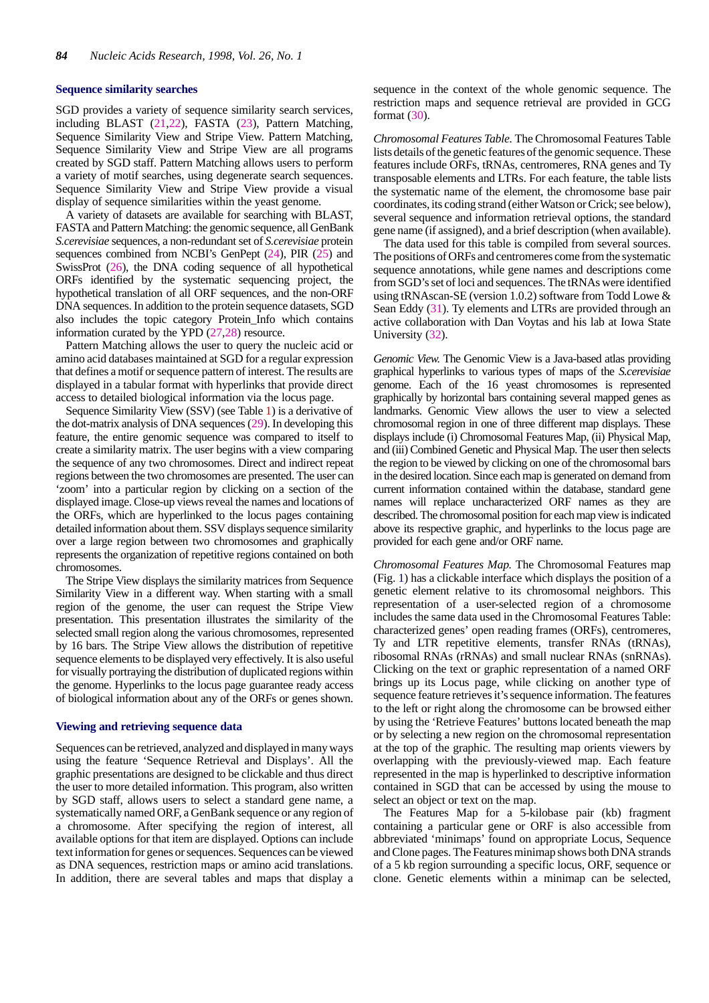#### **Sequence similarity searches**

SGD provides a variety of sequence similarity search services, including BLAST (21,22), FASTA (23), Pattern Matching, Sequence Similarity View and Stripe View. Pattern Matching, Sequence Similarity View and Stripe View are all programs created by SGD staff. Pattern Matching allows users to perform a variety of motif searches, using degenerate search sequences. Sequence Similarity View and Stripe View provide a visual display of sequence similarities within the yeast genome.

A variety of datasets are available for searching with BLAST, FASTA and Pattern Matching: the genomic sequence, all GenBank *S.cerevisiae* sequences, a non-redundant set of *S.cerevisiae* protein sequences combined from NCBI's GenPept (24), PIR (25) and SwissProt (26), the DNA coding sequence of all hypothetical ORFs identified by the systematic sequencing project, the hypothetical translation of all ORF sequences, and the non-ORF DNA sequences. In addition to the protein sequence datasets, SGD also includes the topic category Protein\_Info which contains information curated by the YPD (27,28) resource.

Pattern Matching allows the user to query the nucleic acid or amino acid databases maintained at SGD for a regular expression that defines a motif or sequence pattern of interest. The results are displayed in a tabular format with hyperlinks that provide direct access to detailed biological information via the locus page.

Sequence Similarity View (SSV) (see Table 1) is a derivative of the dot-matrix analysis of DNA sequences (29). In developing this feature, the entire genomic sequence was compared to itself to create a similarity matrix. The user begins with a view comparing the sequence of any two chromosomes. Direct and indirect repeat regions between the two chromosomes are presented. The user can 'zoom' into a particular region by clicking on a section of the displayed image. Close-up views reveal the names and locations of the ORFs, which are hyperlinked to the locus pages containing detailed information about them. SSV displays sequence similarity over a large region between two chromosomes and graphically represents the organization of repetitive regions contained on both chromosomes.

The Stripe View displays the similarity matrices from Sequence Similarity View in a different way. When starting with a small region of the genome, the user can request the Stripe View presentation. This presentation illustrates the similarity of the selected small region along the various chromosomes, represented by 16 bars. The Stripe View allows the distribution of repetitive sequence elements to be displayed very effectively. It is also useful for visually portraying the distribution of duplicated regions within the genome. Hyperlinks to the locus page guarantee ready access of biological information about any of the ORFs or genes shown.

#### **Viewing and retrieving sequence data**

Sequences can be retrieved, analyzed and displayed in many ways using the feature 'Sequence Retrieval and Displays'. All the graphic presentations are designed to be clickable and thus direct the user to more detailed information. This program, also written by SGD staff, allows users to select a standard gene name, a systematically named ORF, a GenBank sequence or any region of a chromosome. After specifying the region of interest, all available options for that item are displayed. Options can include text information for genes or sequences. Sequences can be viewed as DNA sequences, restriction maps or amino acid translations. In addition, there are several tables and maps that display a sequence in the context of the whole genomic sequence. The restriction maps and sequence retrieval are provided in GCG format (30).

*Chromosomal Features Table.* The Chromosomal Features Table lists details of the genetic features of the genomic sequence. These features include ORFs, tRNAs, centromeres, RNA genes and Ty transposable elements and LTRs. For each feature, the table lists the systematic name of the element, the chromosome base pair coordinates, its coding strand (either Watson or Crick; see below), several sequence and information retrieval options, the standard gene name (if assigned), and a brief description (when available).

The data used for this table is compiled from several sources. The positions of ORFs and centromeres come from the systematic sequence annotations, while gene names and descriptions come from SGD's set of loci and sequences. The tRNAs were identified using tRNAscan-SE (version 1.0.2) software from Todd Lowe & Sean Eddy (31). Ty elements and LTRs are provided through an active collaboration with Dan Voytas and his lab at Iowa State University (32).

*Genomic View.* The Genomic View is a Java-based atlas providing graphical hyperlinks to various types of maps of the *S.cerevisiae* genome. Each of the 16 yeast chromosomes is represented graphically by horizontal bars containing several mapped genes as landmarks. Genomic View allows the user to view a selected chromosomal region in one of three different map displays. These displays include (i) Chromosomal Features Map, (ii) Physical Map, and (iii) Combined Genetic and Physical Map. The user then selects the region to be viewed by clicking on one of the chromosomal bars in the desired location. Since each map is generated on demand from current information contained within the database, standard gene names will replace uncharacterized ORF names as they are described. The chromosomal position for each map view is indicated above its respective graphic, and hyperlinks to the locus page are provided for each gene and/or ORF name.

*Chromosomal Features Map.* The Chromosomal Features map (Fig. 1) has a clickable interface which displays the position of a genetic element relative to its chromosomal neighbors. This representation of a user-selected region of a chromosome includes the same data used in the Chromosomal Features Table: characterized genes' open reading frames (ORFs), centromeres, Ty and LTR repetitive elements, transfer RNAs (tRNAs), ribosomal RNAs (rRNAs) and small nuclear RNAs (snRNAs). Clicking on the text or graphic representation of a named ORF brings up its Locus page, while clicking on another type of sequence feature retrieves it's sequence information. The features to the left or right along the chromosome can be browsed either by using the 'Retrieve Features' buttons located beneath the map or by selecting a new region on the chromosomal representation at the top of the graphic. The resulting map orients viewers by overlapping with the previously-viewed map. Each feature represented in the map is hyperlinked to descriptive information contained in SGD that can be accessed by using the mouse to select an object or text on the map.

The Features Map for a 5-kilobase pair (kb) fragment containing a particular gene or ORF is also accessible from abbreviated 'minimaps' found on appropriate Locus, Sequence and Clone pages. The Features minimap shows both DNA strands of a 5 kb region surrounding a specific locus, ORF, sequence or clone. Genetic elements within a minimap can be selected,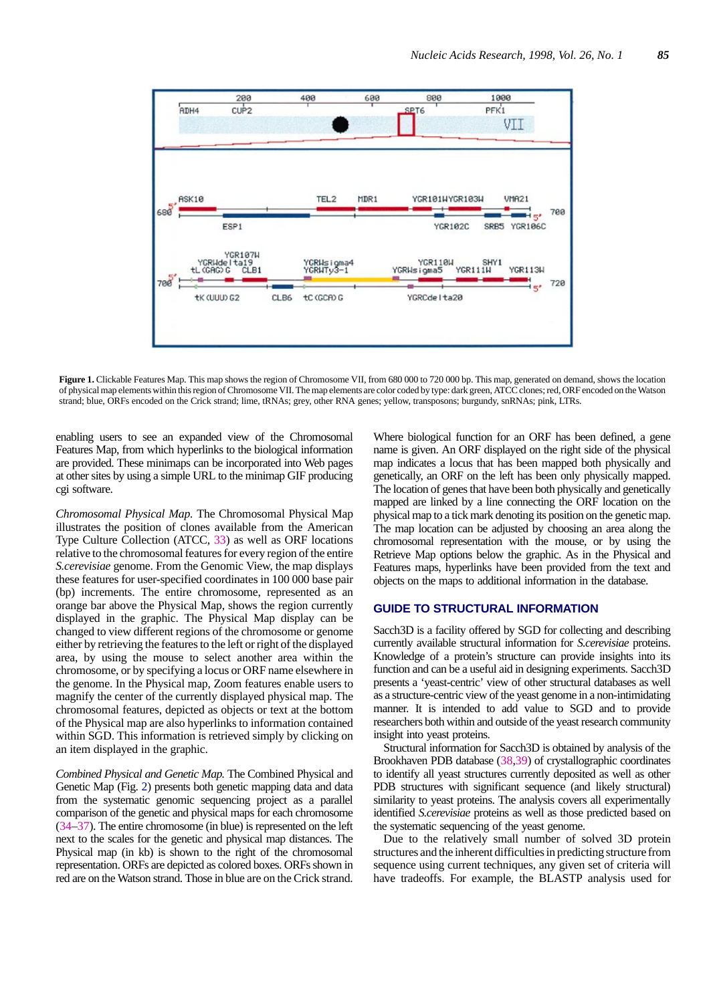

Figure 1. Clickable Features Map. This map shows the region of Chromosome VII, from 680 000 to 720 000 bp. This map, generated on demand, shows the location of physical map elements within this region of Chromosome VII. The map elements are color coded by type: dark green, ATCC clones; red, ORF encoded on the Watson strand; blue, ORFs encoded on the Crick strand; lime, tRNAs; grey, other RNA genes; yellow, transposons; burgundy, snRNAs; pink, LTRs.

enabling users to see an expanded view of the Chromosomal Features Map, from which hyperlinks to the biological information are provided. These minimaps can be incorporated into Web pages at other sites by using a simple URL to the minimap GIF producing cgi software.

*Chromosomal Physical Map.* The Chromosomal Physical Map illustrates the position of clones available from the American Type Culture Collection (ATCC, 33) as well as ORF locations relative to the chromosomal features for every region of the entire *S.cerevisiae* genome. From the Genomic View, the map displays these features for user-specified coordinates in 100 000 base pair (bp) increments. The entire chromosome, represented as an orange bar above the Physical Map, shows the region currently displayed in the graphic. The Physical Map display can be changed to view different regions of the chromosome or genome either by retrieving the features to the left or right of the displayed area, by using the mouse to select another area within the chromosome, or by specifying a locus or ORF name elsewhere in the genome. In the Physical map, Zoom features enable users to magnify the center of the currently displayed physical map. The chromosomal features, depicted as objects or text at the bottom of the Physical map are also hyperlinks to information contained within SGD. This information is retrieved simply by clicking on an item displayed in the graphic.

*Combined Physical and Genetic Map.* The Combined Physical and Genetic Map (Fig. 2) presents both genetic mapping data and data from the systematic genomic sequencing project as a parallel comparison of the genetic and physical maps for each chromosome (34–37). The entire chromosome (in blue) is represented on the left next to the scales for the genetic and physical map distances. The Physical map (in kb) is shown to the right of the chromosomal representation. ORFs are depicted as colored boxes. ORFs shown in red are on the Watson strand. Those in blue are on the Crick strand.

Where biological function for an ORF has been defined, a gene name is given. An ORF displayed on the right side of the physical map indicates a locus that has been mapped both physically and genetically, an ORF on the left has been only physically mapped. The location of genes that have been both physically and genetically mapped are linked by a line connecting the ORF location on the physical map to a tick mark denoting its position on the genetic map. The map location can be adjusted by choosing an area along the chromosomal representation with the mouse, or by using the Retrieve Map options below the graphic. As in the Physical and Features maps, hyperlinks have been provided from the text and objects on the maps to additional information in the database.

#### **GUIDE TO STRUCTURAL INFORMATION**

Sacch3D is a facility offered by SGD for collecting and describing currently available structural information for *S.cerevisiae* proteins. Knowledge of a protein's structure can provide insights into its function and can be a useful aid in designing experiments. Sacch3D presents a 'yeast-centric' view of other structural databases as well as a structure-centric view of the yeast genome in a non-intimidating manner. It is intended to add value to SGD and to provide researchers both within and outside of the yeast research community insight into yeast proteins.

Structural information for Sacch3D is obtained by analysis of the Brookhaven PDB database (38,39) of crystallographic coordinates to identify all yeast structures currently deposited as well as other PDB structures with significant sequence (and likely structural) similarity to yeast proteins. The analysis covers all experimentally identified *S.cerevisiae* proteins as well as those predicted based on the systematic sequencing of the yeast genome.

Due to the relatively small number of solved 3D protein structures and the inherent difficulties in predicting structure from sequence using current techniques, any given set of criteria will have tradeoffs. For example, the BLASTP analysis used for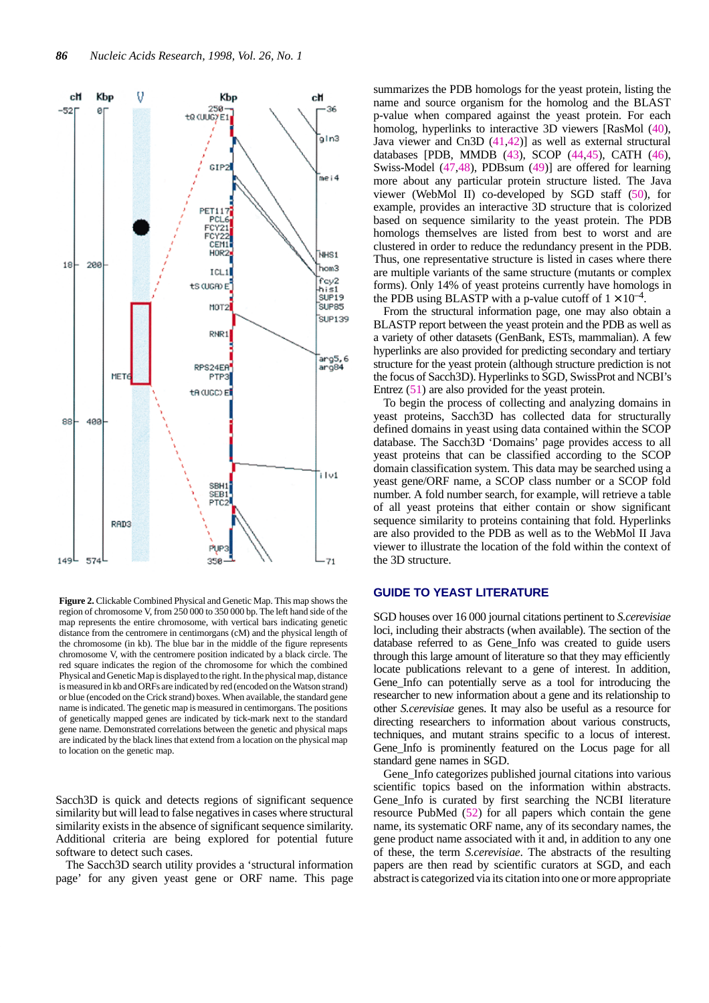

**Figure 2.** Clickable Combined Physical and Genetic Map. This map shows the region of chromosome V, from 250 000 to 350 000 bp. The left hand side of the map represents the entire chromosome, with vertical bars indicating genetic distance from the centromere in centimorgans (cM) and the physical length of the chromosome (in kb). The blue bar in the middle of the figure represents chromosome V, with the centromere position indicated by a black circle. The red square indicates the region of the chromosome for which the combined Physical and Genetic Map is displayed to the right. In the physical map, distance is measured in kb and ORFs are indicated by red (encoded on the Watson strand) or blue (encoded on the Crick strand) boxes. When available, the standard gene name is indicated. The genetic map is measured in centimorgans. The positions of genetically mapped genes are indicated by tick-mark next to the standard gene name. Demonstrated correlations between the genetic and physical maps are indicated by the black lines that extend from a location on the physical map to location on the genetic map.

Sacch3D is quick and detects regions of significant sequence similarity but will lead to false negatives in cases where structural similarity exists in the absence of significant sequence similarity. Additional criteria are being explored for potential future software to detect such cases.

The Sacch3D search utility provides a 'structural information page' for any given yeast gene or ORF name. This page

summarizes the PDB homologs for the yeast protein, listing the name and source organism for the homolog and the BLAST p-value when compared against the yeast protein. For each homolog, hyperlinks to interactive 3D viewers [RasMol (40), Java viewer and Cn3D (41,42)] as well as external structural databases [PDB, MMDB (43), SCOP (44,45), CATH (46), Swiss-Model (47,48), PDBsum (49)] are offered for learning more about any particular protein structure listed. The Java viewer (WebMol II) co-developed by SGD staff (50), for example, provides an interactive 3D structure that is colorized based on sequence similarity to the yeast protein. The PDB homologs themselves are listed from best to worst and are clustered in order to reduce the redundancy present in the PDB. Thus, one representative structure is listed in cases where there are multiple variants of the same structure (mutants or complex forms). Only 14% of yeast proteins currently have homologs in the PDB using BLASTP with a p-value cutoff of  $1 \times 10^{-4}$ .

From the structural information page, one may also obtain a BLASTP report between the yeast protein and the PDB as well as a variety of other datasets (GenBank, ESTs, mammalian). A few hyperlinks are also provided for predicting secondary and tertiary structure for the yeast protein (although structure prediction is not the focus of Sacch3D). Hyperlinks to SGD, SwissProt and NCBI's Entrez (51) are also provided for the yeast protein.

To begin the process of collecting and analyzing domains in yeast proteins, Sacch3D has collected data for structurally defined domains in yeast using data contained within the SCOP database. The Sacch3D 'Domains' page provides access to all yeast proteins that can be classified according to the SCOP domain classification system. This data may be searched using a yeast gene/ORF name, a SCOP class number or a SCOP fold number. A fold number search, for example, will retrieve a table of all yeast proteins that either contain or show significant sequence similarity to proteins containing that fold. Hyperlinks are also provided to the PDB as well as to the WebMol II Java viewer to illustrate the location of the fold within the context of the 3D structure.

# **GUIDE TO YEAST LITERATURE**

SGD houses over 16 000 journal citations pertinent to *S.cerevisiae* loci, including their abstracts (when available). The section of the database referred to as Gene\_Info was created to guide users through this large amount of literature so that they may efficiently locate publications relevant to a gene of interest. In addition, Gene\_Info can potentially serve as a tool for introducing the researcher to new information about a gene and its relationship to other *S.cerevisiae* genes. It may also be useful as a resource for directing researchers to information about various constructs, techniques, and mutant strains specific to a locus of interest. Gene\_Info is prominently featured on the Locus page for all standard gene names in SGD.

Gene\_Info categorizes published journal citations into various scientific topics based on the information within abstracts. Gene\_Info is curated by first searching the NCBI literature resource PubMed (52) for all papers which contain the gene name, its systematic ORF name, any of its secondary names, the gene product name associated with it and, in addition to any one of these, the term *S.cerevisiae*. The abstracts of the resulting papers are then read by scientific curators at SGD, and each abstract is categorized via its citation into one or more appropriate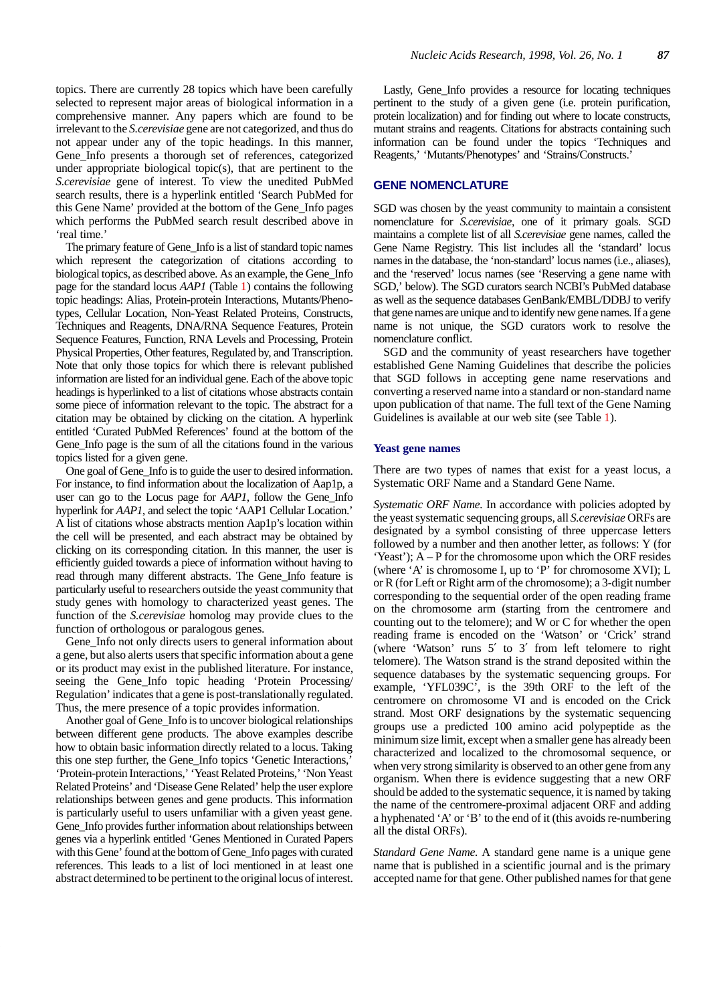topics. There are currently 28 topics which have been carefully selected to represent major areas of biological information in a comprehensive manner. Any papers which are found to be irrelevant to the *S.cerevisiae* gene are not categorized, and thus do not appear under any of the topic headings. In this manner, Gene\_Info presents a thorough set of references, categorized under appropriate biological topic(s), that are pertinent to the *S.cerevisiae* gene of interest. To view the unedited PubMed search results, there is a hyperlink entitled 'Search PubMed for this Gene Name' provided at the bottom of the Gene\_Info pages which performs the PubMed search result described above in 'real time.'

The primary feature of Gene Info is a list of standard topic names which represent the categorization of citations according to biological topics, as described above. As an example, the Gene\_Info page for the standard locus *AAP1* (Table 1) contains the following topic headings: Alias, Protein-protein Interactions, Mutants/Phenotypes, Cellular Location, Non-Yeast Related Proteins, Constructs, Techniques and Reagents, DNA/RNA Sequence Features, Protein Sequence Features, Function, RNA Levels and Processing, Protein Physical Properties, Other features, Regulated by, and Transcription. Note that only those topics for which there is relevant published information are listed for an individual gene. Each of the above topic headings is hyperlinked to a list of citations whose abstracts contain some piece of information relevant to the topic. The abstract for a citation may be obtained by clicking on the citation. A hyperlink entitled 'Curated PubMed References' found at the bottom of the Gene\_Info page is the sum of all the citations found in the various topics listed for a given gene.

One goal of Gene\_Info is to guide the user to desired information. For instance, to find information about the localization of Aap1p, a user can go to the Locus page for *AAP1*, follow the Gene\_Info hyperlink for *AAP1*, and select the topic 'AAP1 Cellular Location.' A list of citations whose abstracts mention Aap1p's location within the cell will be presented, and each abstract may be obtained by clicking on its corresponding citation. In this manner, the user is efficiently guided towards a piece of information without having to read through many different abstracts. The Gene\_Info feature is particularly useful to researchers outside the yeast community that study genes with homology to characterized yeast genes. The function of the *S.cerevisiae* homolog may provide clues to the function of orthologous or paralogous genes.

Gene\_Info not only directs users to general information about a gene, but also alerts users that specific information about a gene or its product may exist in the published literature. For instance, seeing the Gene\_Info topic heading 'Protein Processing/ Regulation' indicates that a gene is post-translationally regulated. Thus, the mere presence of a topic provides information.

Another goal of Gene\_Info is to uncover biological relationships between different gene products. The above examples describe how to obtain basic information directly related to a locus. Taking this one step further, the Gene\_Info topics 'Genetic Interactions,' 'Protein-protein Interactions,' 'Yeast Related Proteins,' 'Non Yeast Related Proteins' and 'Disease Gene Related' help the user explore relationships between genes and gene products. This information is particularly useful to users unfamiliar with a given yeast gene. Gene Info provides further information about relationships between genes via a hyperlink entitled 'Genes Mentioned in Curated Papers with this Gene' found at the bottom of Gene Info pages with curated references. This leads to a list of loci mentioned in at least one abstract determined to be pertinent to the original locus of interest.

Lastly, Gene\_Info provides a resource for locating techniques pertinent to the study of a given gene (i.e. protein purification, protein localization) and for finding out where to locate constructs, mutant strains and reagents. Citations for abstracts containing such information can be found under the topics 'Techniques and Reagents,' 'Mutants/Phenotypes' and 'Strains/Constructs.'

#### **GENE NOMENCLATURE**

SGD was chosen by the yeast community to maintain a consistent nomenclature for *S.cerevisiae*, one of it primary goals. SGD maintains a complete list of all *S.cerevisiae* gene names, called the Gene Name Registry. This list includes all the 'standard' locus names in the database, the 'non-standard' locus names (i.e., aliases), and the 'reserved' locus names (see 'Reserving a gene name with SGD,' below). The SGD curators search NCBI's PubMed database as well as the sequence databases GenBank/EMBL/DDBJ to verify that gene names are unique and to identify new gene names. If a gene name is not unique, the SGD curators work to resolve the nomenclature conflict.

SGD and the community of yeast researchers have together established Gene Naming Guidelines that describe the policies that SGD follows in accepting gene name reservations and converting a reserved name into a standard or non-standard name upon publication of that name. The full text of the Gene Naming Guidelines is available at our web site (see Table 1).

#### **Yeast gene names**

There are two types of names that exist for a yeast locus, a Systematic ORF Name and a Standard Gene Name.

*Systematic ORF Name.* In accordance with policies adopted by the yeast systematic sequencing groups, all *S.cerevisiae* ORFs are designated by a symbol consisting of three uppercase letters followed by a number and then another letter, as follows: Y (for 'Yeast'); A – P for the chromosome upon which the ORF resides (where  $A'$  is chromosome I, up to  $P'$  for chromosome XVI); L or R (for Left or Right arm of the chromosome); a 3-digit number corresponding to the sequential order of the open reading frame on the chromosome arm (starting from the centromere and counting out to the telomere); and W or C for whether the open reading frame is encoded on the 'Watson' or 'Crick' strand (where 'Watson' runs 5′ to 3′ from left telomere to right telomere). The Watson strand is the strand deposited within the sequence databases by the systematic sequencing groups. For example, 'YFL039C', is the 39th ORF to the left of the centromere on chromosome VI and is encoded on the Crick strand. Most ORF designations by the systematic sequencing groups use a predicted 100 amino acid polypeptide as the minimum size limit, except when a smaller gene has already been characterized and localized to the chromosomal sequence, or when very strong similarity is observed to an other gene from any organism. When there is evidence suggesting that a new ORF should be added to the systematic sequence, it is named by taking the name of the centromere-proximal adjacent ORF and adding a hyphenated 'A' or 'B' to the end of it (this avoids re-numbering all the distal ORFs).

*Standard Gene Name.* A standard gene name is a unique gene name that is published in a scientific journal and is the primary accepted name for that gene. Other published names for that gene